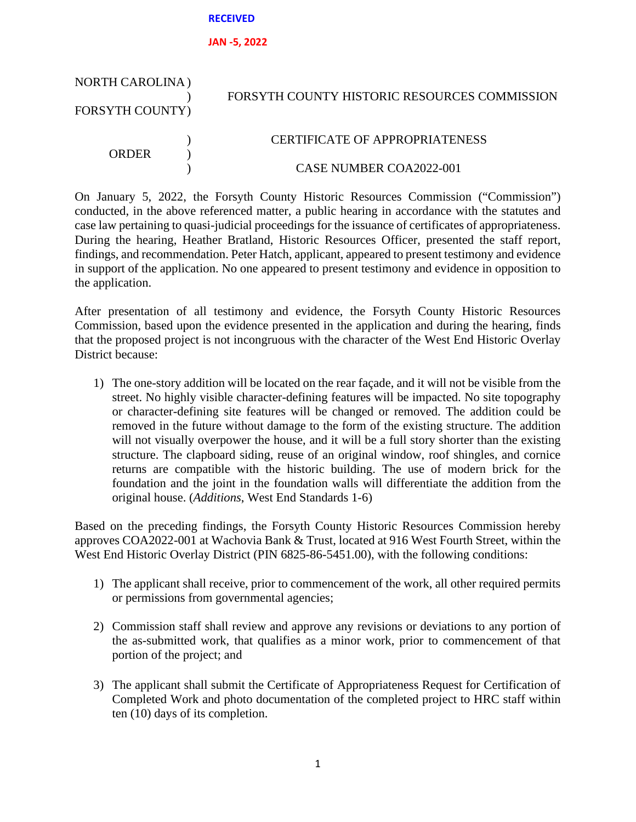### **RECEIVED**

### **JAN -5, 2022**

| <b>NORTH CAROLINA</b> ) |  | FORSYTH COUNTY HISTORIC RESOURCES COMMISSION |
|-------------------------|--|----------------------------------------------|
| <b>FORSYTH COUNTY)</b>  |  |                                              |
| ORDER                   |  | <b>CERTIFICATE OF APPROPRIATENESS</b>        |
|                         |  | CASE NUMBER COA2022-001                      |

On January 5, 2022, the Forsyth County Historic Resources Commission ("Commission") conducted, in the above referenced matter, a public hearing in accordance with the statutes and case law pertaining to quasi-judicial proceedings for the issuance of certificates of appropriateness. During the hearing, Heather Bratland, Historic Resources Officer, presented the staff report, findings, and recommendation. Peter Hatch, applicant, appeared to present testimony and evidence in support of the application. No one appeared to present testimony and evidence in opposition to the application.

After presentation of all testimony and evidence, the Forsyth County Historic Resources Commission, based upon the evidence presented in the application and during the hearing, finds that the proposed project is not incongruous with the character of the West End Historic Overlay District because:

1) The one-story addition will be located on the rear façade, and it will not be visible from the street. No highly visible character-defining features will be impacted. No site topography or character-defining site features will be changed or removed. The addition could be removed in the future without damage to the form of the existing structure. The addition will not visually overpower the house, and it will be a full story shorter than the existing structure. The clapboard siding, reuse of an original window, roof shingles, and cornice returns are compatible with the historic building. The use of modern brick for the foundation and the joint in the foundation walls will differentiate the addition from the original house. (*Additions*, West End Standards 1-6)

Based on the preceding findings, the Forsyth County Historic Resources Commission hereby approves COA2022-001 at Wachovia Bank & Trust, located at 916 West Fourth Street, within the West End Historic Overlay District (PIN 6825-86-5451.00), with the following conditions:

- 1) The applicant shall receive, prior to commencement of the work, all other required permits or permissions from governmental agencies;
- 2) Commission staff shall review and approve any revisions or deviations to any portion of the as-submitted work, that qualifies as a minor work, prior to commencement of that portion of the project; and
- 3) The applicant shall submit the Certificate of Appropriateness Request for Certification of Completed Work and photo documentation of the completed project to HRC staff within ten (10) days of its completion.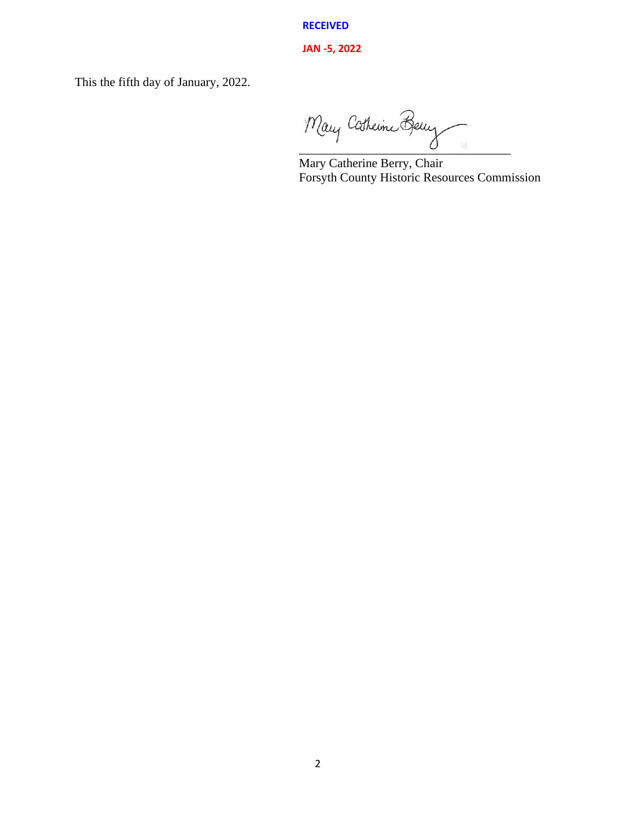**RECEIVED**

## **JAN -5, 2022**

This the fifth day of January, 2022.

Mary Catherine Berry

Mary Catherine Berry, Chair Forsyth County Historic Resources Commission